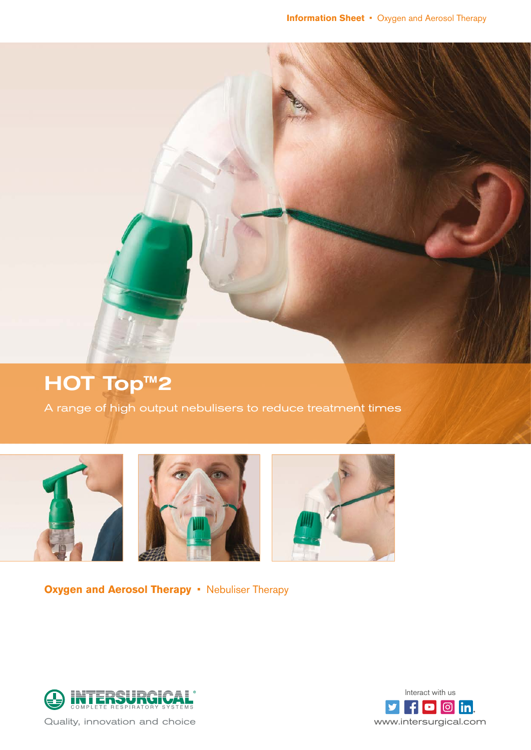

# HOT Top™2

A range of high output nebulisers to reduce treatment times







**Oxygen and Aerosol Therapy • Nebuliser Therapy** 





Quality, innovation and choice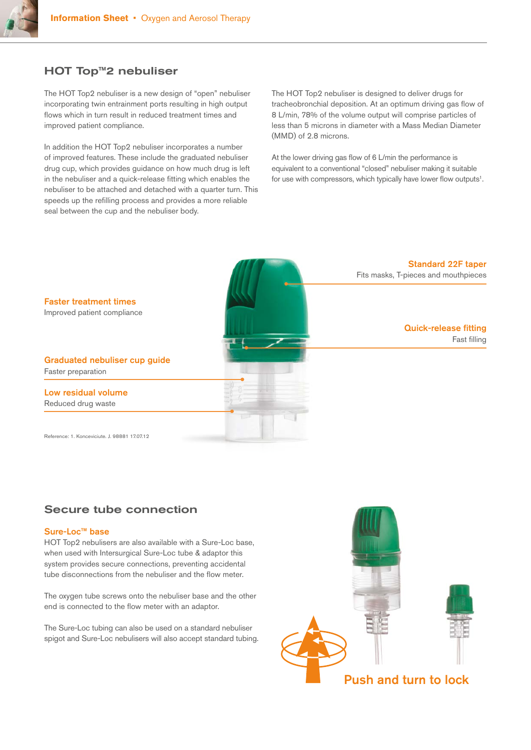

## HOT Top™2 nebuliser

The HOT Top2 nebuliser is a new design of "open" nebuliser incorporating twin entrainment ports resulting in high output flows which in turn result in reduced treatment times and improved patient compliance.

In addition the HOT Top2 nebuliser incorporates a number of improved features. These include the graduated nebuliser drug cup, which provides guidance on how much drug is left in the nebuliser and a quick-release fitting which enables the nebuliser to be attached and detached with a quarter turn. This speeds up the refilling process and provides a more reliable seal between the cup and the nebuliser body.

The HOT Top2 nebuliser is designed to deliver drugs for tracheobronchial deposition. At an optimum driving gas flow of 8 L/min, 78% of the volume output will comprise particles of less than 5 microns in diameter with a Mass Median Diameter (MMD) of 2.8 microns.

At the lower driving gas flow of 6 L/min the performance is equivalent to a conventional "closed" nebuliser making it suitable for use with compressors, which typically have lower flow outputs<sup>1</sup>.



### Secure tube connection

#### Sure-Loc™ base

HOT Top2 nebulisers are also available with a Sure-Loc base, when used with Intersurgical Sure-Loc tube & adaptor this system provides secure connections, preventing accidental tube disconnections from the nebuliser and the flow meter.

The oxygen tube screws onto the nebuliser base and the other end is connected to the flow meter with an adaptor.

The Sure-Loc tubing can also be used on a standard nebuliser spigot and Sure-Loc nebulisers will also accept standard tubing.

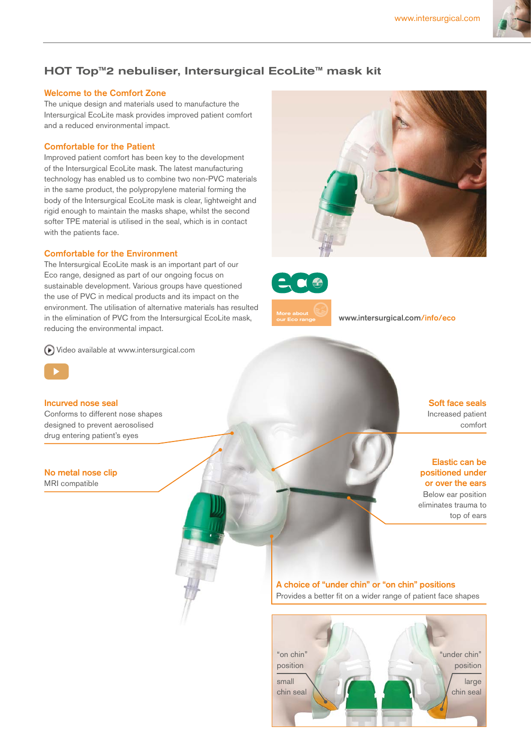

## HOT Top<sup>™</sup>2 nebuliser, Intersurgical EcoLite<sup>™</sup> mask kit

## Welcome to the Comfort Zone

The unique design and materials used to manufacture the Intersurgical EcoLite mask provides improved patient comfort and a reduced environmental impact.

## Comfortable for the Patient

Improved patient comfort has been key to the development of the Intersurgical EcoLite mask. The latest manufacturing technology has enabled us to combine two non-PVC materials in the same product, the polypropylene material forming the body of the Intersurgical EcoLite mask is clear, lightweight and rigid enough to maintain the masks shape, whilst the second softer TPE material is utilised in the seal, which is in contact with the patients face.

## Comfortable for the Environment

The Intersurgical EcoLite mask is an important part of our Eco range, designed as part of our ongoing focus on sustainable development. Various groups have questioned the use of PVC in medical products and its impact on the environment. The utilisation of alternative materials has resulted in the elimination of PVC from the Intersurgical EcoLite mask, reducing the environmental impact.

[Video available at www.intersurgical.com](http://www.intersurgical.com/products/oxygen-and-aerosol-therapy/hot-top2-nebuliser#videos)



#### Incurved nose seal

Conforms to different nose shapes designed to prevent aerosolised drug entering patient's eyes

#### No metal nose clip

MRI compatible





More about

[www.intersurgical.com/info/eco](http://www.intersurgical.com/info/eco)

Soft face seals Increased patient comfort

#### Elastic can be positioned under or over the ears

Below ear position eliminates trauma to top of ears

A choice of "under chin" or "on chin" positions Provides a better fit on a wider range of patient face shapes